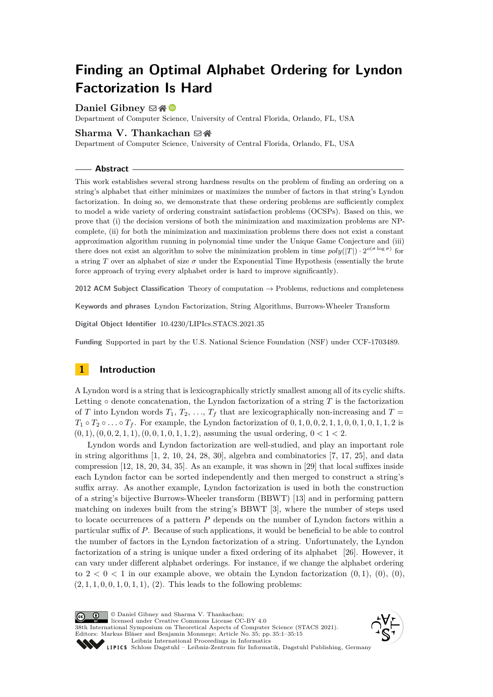# **Finding an Optimal Alphabet Ordering for Lyndon Factorization Is Hard**

## **Daniel Gibney** ⊠ <sup>6</sup>

Department of Computer Science, University of Central Florida, Orlando, FL, USA

## **Sharma V. Thankachan** ⊠谷

Department of Computer Science, University of Central Florida, Orlando, FL, USA

#### **Abstract**

This work establishes several strong hardness results on the problem of finding an ordering on a string's alphabet that either minimizes or maximizes the number of factors in that string's Lyndon factorization. In doing so, we demonstrate that these ordering problems are sufficiently complex to model a wide variety of ordering constraint satisfaction problems (OCSPs). Based on this, we prove that (i) the decision versions of both the minimization and maximization problems are NPcomplete, (ii) for both the minimization and maximization problems there does not exist a constant approximation algorithm running in polynomial time under the Unique Game Conjecture and (iii) there does not exist an algorithm to solve the minimization problem in time  $poly(|T|) \cdot 2^{o(\sigma \log \sigma)}$  for a string *T* over an alphabet of size  $\sigma$  under the Exponential Time Hypothesis (essentially the brute force approach of trying every alphabet order is hard to improve significantly).

**2012 ACM Subject Classification** Theory of computation → Problems, reductions and completeness

**Keywords and phrases** Lyndon Factorization, String Algorithms, Burrows-Wheeler Transform

**Digital Object Identifier** [10.4230/LIPIcs.STACS.2021.35](https://doi.org/10.4230/LIPIcs.STACS.2021.35)

**Funding** Supported in part by the U.S. National Science Foundation (NSF) under CCF-1703489.

# <span id="page-0-0"></span>**1 Introduction**

A Lyndon word is a string that is lexicographically strictly smallest among all of its cyclic shifts. Letting  $\circ$  denote concatenation, the Lyndon factorization of a string *T* is the factorization of *T* into Lyndon words  $T_1, T_2, \ldots, T_f$  that are lexicographically non-increasing and  $T =$  $T_1 \circ T_2 \circ \ldots \circ T_f$ . For example, the Lyndon factorization of 0, 1, 0, 0, 2, 1, 1, 0, 0, 1, 0, 1, 1, 2 is  $(0,1), (0,0,2,1,1), (0,0,1,0,1,1,2),$  assuming the usual ordering,  $0 < 1 < 2$ .

Lyndon words and Lyndon factorization are well-studied, and play an important role in string algorithms  $[1, 2, 10, 24, 28, 30]$  $[1, 2, 10, 24, 28, 30]$  $[1, 2, 10, 24, 28, 30]$  $[1, 2, 10, 24, 28, 30]$  $[1, 2, 10, 24, 28, 30]$  $[1, 2, 10, 24, 28, 30]$  $[1, 2, 10, 24, 28, 30]$  $[1, 2, 10, 24, 28, 30]$  $[1, 2, 10, 24, 28, 30]$  $[1, 2, 10, 24, 28, 30]$  $[1, 2, 10, 24, 28, 30]$ , algebra and combinatorics  $[7, 17, 25]$  $[7, 17, 25]$  $[7, 17, 25]$  $[7, 17, 25]$  $[7, 17, 25]$ , and data compression [\[12,](#page-12-3) [18,](#page-12-4) [20,](#page-13-4) [34,](#page-14-0) [35\]](#page-14-1). As an example, it was shown in [\[29\]](#page-13-5) that local suffixes inside each Lyndon factor can be sorted independently and then merged to construct a string's suffix array. As another example, Lyndon factorization is used in both the construction of a string's bijective Burrows-Wheeler transform (BBWT) [\[13\]](#page-12-5) and in performing pattern matching on indexes built from the string's BBWT [\[3\]](#page-12-6), where the number of steps used to locate occurrences of a pattern *P* depends on the number of Lyndon factors within a particular suffix of *P*. Because of such applications, it would be beneficial to be able to control the number of factors in the Lyndon factorization of a string. Unfortunately, the Lyndon factorization of a string is unique under a fixed ordering of its alphabet [\[26\]](#page-13-6). However, it can vary under different alphabet orderings. For instance, if we change the alphabet ordering to  $2 < 0 < 1$  in our example above, we obtain the Lyndon factorization  $(0, 1), (0), (0),$ (2*,* 1*,* 1*,* 0*,* 0*,* 1*,* 0*,* 1*,* 1), (2). This leads to the following problems:

© Daniel Gibney and Sharma V. Thankachan;  $\boxed{6}$  0 licensed under Creative Commons License CC-BY 4.0 38th International Symposium on Theoretical Aspects of Computer Science (STACS 2021). Editors: Markus Bläser and Benjamin Monmege; Article No. 35; pp. 35:1–35:15 [Leibniz International Proceedings in Informatics](https://www.dagstuhl.de/lipics/) Leibniz international Froceedings in missimosische Publishing, Germany<br>LIPICS [Schloss Dagstuhl – Leibniz-Zentrum für Informatik, Dagstuhl Publishing, Germany](https://www.dagstuhl.de)

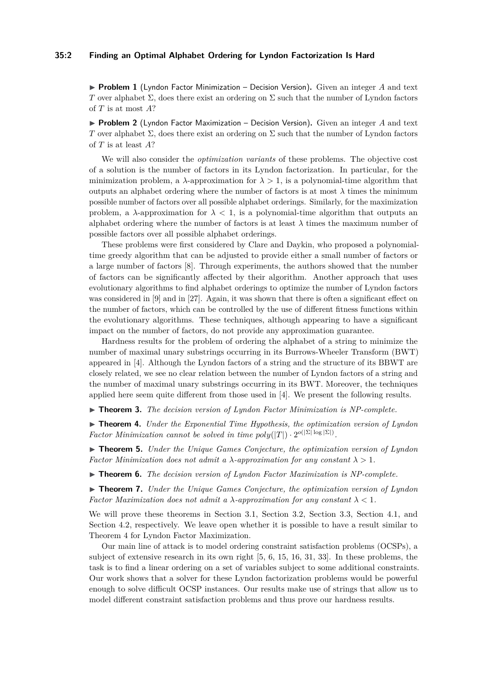#### **35:2 Finding an Optimal Alphabet Ordering for Lyndon Factorization Is Hard**

▶ **Problem 1** (Lyndon Factor Minimization – Decision Version). Given an integer *A* and text *T* over alphabet  $\Sigma$ , does there exist an ordering on  $\Sigma$  such that the number of Lyndon factors of *T* is at most *A*?

▶ **Problem 2** (Lyndon Factor Maximization – Decision Version). Given an integer *A* and text *T* over alphabet  $\Sigma$ , does there exist an ordering on  $\Sigma$  such that the number of Lyndon factors of *T* is at least *A*?

We will also consider the *optimization variants* of these problems. The objective cost of a solution is the number of factors in its Lyndon factorization. In particular, for the minimization problem, a  $\lambda$ -approximation for  $\lambda > 1$ , is a polynomial-time algorithm that outputs an alphabet ordering where the number of factors is at most  $\lambda$  times the minimum possible number of factors over all possible alphabet orderings. Similarly, for the maximization problem, a  $\lambda$ -approximation for  $\lambda < 1$ , is a polynomial-time algorithm that outputs an alphabet ordering where the number of factors is at least  $\lambda$  times the maximum number of possible factors over all possible alphabet orderings.

These problems were first considered by Clare and Daykin, who proposed a polynomialtime greedy algorithm that can be adjusted to provide either a small number of factors or a large number of factors [\[8\]](#page-12-7). Through experiments, the authors showed that the number of factors can be significantly affected by their algorithm. Another approach that uses evolutionary algorithms to find alphabet orderings to optimize the number of Lyndon factors was considered in [\[9\]](#page-12-8) and in [\[27\]](#page-13-7). Again, it was shown that there is often a significant effect on the number of factors, which can be controlled by the use of different fitness functions within the evolutionary algorithms. These techniques, although appearing to have a significant impact on the number of factors, do not provide any approximation guarantee.

Hardness results for the problem of ordering the alphabet of a string to minimize the number of maximal unary substrings occurring in its Burrows-Wheeler Transform (BWT) appeared in [\[4\]](#page-12-9). Although the Lyndon factors of a string and the structure of its BBWT are closely related, we see no clear relation between the number of Lyndon factors of a string and the number of maximal unary substrings occurring in its BWT. Moreover, the techniques applied here seem quite different from those used in [\[4\]](#page-12-9). We present the following results.

<span id="page-1-2"></span>▶ **Theorem 3.** *The decision version of Lyndon Factor Minimization is NP-complete.*

<span id="page-1-0"></span>▶ **Theorem 4.** *Under the Exponential Time Hypothesis, the optimization version of Lyndon Factor Minimization cannot be solved in time*  $poly(|T|) \cdot 2^{o(|\Sigma| \log |\Sigma|)}$ *.* 

<span id="page-1-1"></span>▶ **Theorem 5.** *Under the Unique Games Conjecture, the optimization version of Lyndon Factor Minimization does not admit a*  $\lambda$ -*approximation for any constant*  $\lambda > 1$ *.* 

<span id="page-1-3"></span>▶ **Theorem 6.** *The decision version of Lyndon Factor Maximization is NP-complete.*

<span id="page-1-4"></span>▶ **Theorem 7.** *Under the Unique Games Conjecture, the optimization version of Lyndon Factor Maximization does not admit a*  $\lambda$ -*approximation for any constant*  $\lambda < 1$ *.* 

We will prove these theorems in Section [3.1,](#page-4-0) Section [3.2,](#page-5-0) Section [3.3,](#page-6-0) Section [4.1,](#page-9-0) and Section [4.2,](#page-9-1) respectively. We leave open whether it is possible to have a result similar to Theorem [4](#page-1-0) for Lyndon Factor Maximization.

Our main line of attack is to model ordering constraint satisfaction problems (OCSPs), a subject of extensive research in its own right [\[5,](#page-12-10) [6,](#page-12-11) [15,](#page-12-12) [16,](#page-12-13) [31,](#page-13-8) [33\]](#page-13-9). In these problems, the task is to find a linear ordering on a set of variables subject to some additional constraints. Our work shows that a solver for these Lyndon factorization problems would be powerful enough to solve difficult OCSP instances. Our results make use of strings that allow us to model different constraint satisfaction problems and thus prove our hardness results.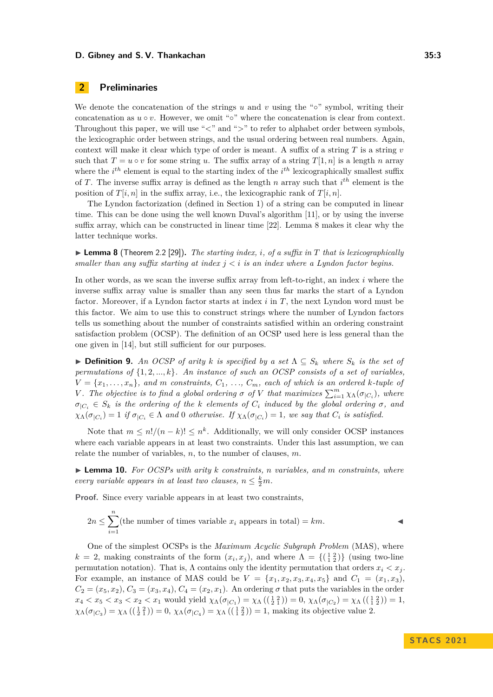## **2 Preliminaries**

We denote the concatenation of the strings  $u$  and  $v$  using the "∘" symbol, writing their concatenation as  $u \circ v$ . However, we omit " $\circ$ " where the concatenation is clear from context. Throughout this paper, we will use "*<*" and "*>*" to refer to alphabet order between symbols, the lexicographic order between strings, and the usual ordering between real numbers. Again, context will make it clear which type of order is meant. A suffix of a string *T* is a string *v* such that  $T = u \circ v$  for some string *u*. The suffix array of a string  $T[1, n]$  is a length *n* array where the *i*<sup>th</sup> element is equal to the starting index of the *i*<sup>th</sup> lexicographically smallest suffix of *T*. The inverse suffix array is defined as the length *n* array such that *i th* element is the position of  $T[i, n]$  in the suffix array, i.e., the lexicographic rank of  $T[i, n]$ .

The Lyndon factorization (defined in Section [1\)](#page-0-0) of a string can be computed in linear time. This can be done using the well known Duval's algorithm [\[11\]](#page-12-14), or by using the inverse suffix array, which can be constructed in linear time [\[22\]](#page-13-10). Lemma [8](#page-2-0) makes it clear why the latter technique works.

<span id="page-2-0"></span> $\blacktriangleright$  **Lemma 8** (Theorem 2.2 [\[29\]](#page-13-5)). *The starting index, i, of a suffix in T* that is lexicographically *smaller than any suffix starting at index*  $j < i$  *is an index where a Lyndon factor begins.* 

In other words, as we scan the inverse suffix array from left-to-right, an index *i* where the inverse suffix array value is smaller than any seen thus far marks the start of a Lyndon factor. Moreover, if a Lyndon factor starts at index *i* in *T*, the next Lyndon word must be this factor. We aim to use this to construct strings where the number of Lyndon factors tells us something about the number of constraints satisfied within an ordering constraint satisfaction problem (OCSP). The definition of an OCSP used here is less general than the one given in [\[14\]](#page-12-15), but still sufficient for our purposes.

▶ **Definition 9.** An OCSP of arity k is specified by a set  $\Lambda ⊆ S_k$  where  $S_k$  is the set of *permutations of* {1*,* 2*, ..., k*}*. An instance of such an OCSP consists of a set of variables,*  $V = \{x_1, \ldots, x_n\}$ , and *m* constraints,  $C_1, \ldots, C_m$ , each of which is an ordered *k*-tuple of *V*. The objective is to find a global ordering  $\sigma$  of *V* that maximizes  $\sum_{i=1}^{m} \chi_{\Lambda}(\sigma_{|C_i})$ , where  $\sigma_{|C_i} \in S_k$  *is the ordering of the k elements of*  $C_i$  *induced by the global ordering*  $\sigma$ *, and*  $\chi_{\Lambda}(\sigma_{|C_i}) = 1$  *if*  $\sigma_{|C_i} \in \Lambda$  and 0 otherwise. If  $\chi_{\Lambda}(\sigma_{|C_i}) = 1$ *, we say that*  $C_i$  *is satisfied.* 

Note that  $m \leq n!/(n-k)! \leq n^k$ . Additionally, we will only consider OCSP instances where each variable appears in at least two constraints. Under this last assumption, we can relate the number of variables, *n*, to the number of clauses, *m*.

<span id="page-2-1"></span>▶ **Lemma 10.** *For OCSPs with arity k constraints, n variables, and m constraints, where every variable appears in at least two clauses,*  $n \leq \frac{k}{2}m$ .

**Proof.** Since every variable appears in at least two constraints,

$$
2n \le \sum_{i=1}^{n}(\text{the number of times variable }x_i \text{ appears in total}) = km.
$$

One of the simplest OCSPs is the *Maximum Acyclic Subgraph Problem* (MAS), where  $k = 2$ , making constraints of the form  $(x_i, x_j)$ , and where  $\Lambda = \{(\begin{smallmatrix} 1 & 2 \\ 1 & 2 \end{smallmatrix})\}$  (using two-line permutation notation). That is, Λ contains only the identity permutation that orders  $x_i < x_j$ . For example, an instance of MAS could be  $V = \{x_1, x_2, x_3, x_4, x_5\}$  and  $C_1 = (x_1, x_3)$ ,  $C_2 = (x_5, x_2), C_3 = (x_3, x_4), C_4 = (x_2, x_1).$  An ordering  $\sigma$  that puts the variables in the order  $x_4 < x_5 < x_3 < x_2 < x_1$  would yield  $\chi_{\Lambda}(\sigma_{|C_1}) = \chi_{\Lambda}((\frac{1}{2}, \frac{2}{2})) = 0$ ,  $\chi_{\Lambda}(\sigma_{|C_2}) = \chi_{\Lambda}((\frac{1}{2}, \frac{2}{2})) = 1$ ,  $\chi_{\Lambda}(\sigma_{|C_3}) = \chi_{\Lambda}((\frac{1}{2}\frac{2}{1})) = 0$ ,  $\chi_{\Lambda}(\sigma_{|C_4}) = \chi_{\Lambda}((\frac{1}{1}\frac{2}{2})) = 1$ , making its objective value 2.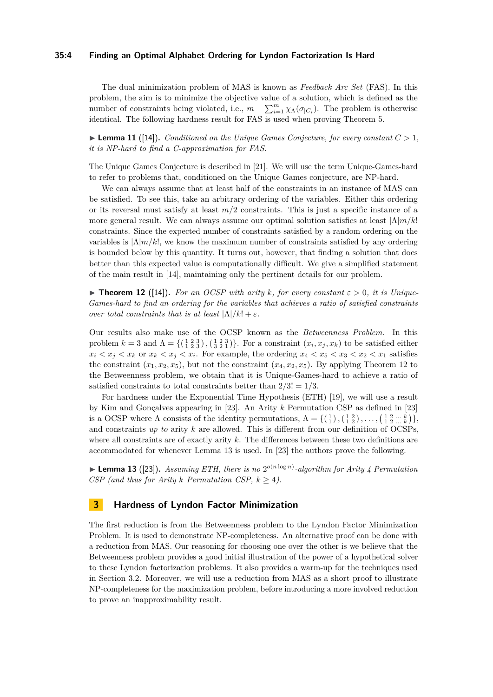#### **35:4 Finding an Optimal Alphabet Ordering for Lyndon Factorization Is Hard**

The dual minimization problem of MAS is known as *Feedback Arc Set* (FAS). In this problem, the aim is to minimize the objective value of a solution, which is defined as the number of constraints being violated, i.e.,  $m - \sum_{i=1}^{m} \chi_{\Lambda}(\sigma_{|C_i})$ . The problem is otherwise identical. The following hardness result for FAS is used when proving Theorem [5.](#page-1-1)

<span id="page-3-2"></span> $\blacktriangleright$  **Lemma 11** ([\[14\]](#page-12-15)). *Conditioned on the Unique Games Conjecture, for every constant*  $C > 1$ , *it is NP-hard to find a C-approximation for FAS.*

The Unique Games Conjecture is described in [\[21\]](#page-13-11). We will use the term Unique-Games-hard to refer to problems that, conditioned on the Unique Games conjecture, are NP-hard.

We can always assume that at least half of the constraints in an instance of MAS can be satisfied. To see this, take an arbitrary ordering of the variables. Either this ordering or its reversal must satisfy at least  $m/2$  constraints. This is just a specific instance of a more general result. We can always assume our optimal solution satisfies at least  $|\Lambda|m/k|$ constraints. Since the expected number of constraints satisfied by a random ordering on the variables is |Λ|*m/k*!, we know the maximum number of constraints satisfied by any ordering is bounded below by this quantity. It turns out, however, that finding a solution that does better than this expected value is computationally difficult. We give a simplified statement of the main result in [\[14\]](#page-12-15), maintaining only the pertinent details for our problem.

<span id="page-3-0"></span> $\blacktriangleright$  **Theorem 12** ([\[14\]](#page-12-15)). For an OCSP with arity *k*, for every constant  $\varepsilon > 0$ , it is Unique-*Games-hard to find an ordering for the variables that achieves a ratio of satisfied constraints over total constraints that is at least*  $|\Lambda|/k! + \varepsilon$ *.* 

Our results also make use of the OCSP known as the *Betweenness Problem*. In this problem  $k = 3$  and  $\Lambda = \{(\begin{smallmatrix} 1 & 2 & 3 \\ 1 & 2 & 3 \end{smallmatrix}), (\begin{smallmatrix} 1 & 2 & 3 \\ 3 & 2 & 1 \end{smallmatrix})\}$ . For a constraint  $(x_i, x_j, x_k)$  to be satisfied either  $x_i < x_j < x_k$  or  $x_k < x_j < x_i$ . For example, the ordering  $x_4 < x_5 < x_3 < x_2 < x_1$  satisfies the constraint  $(x_1, x_2, x_5)$ , but not the constraint  $(x_4, x_2, x_5)$ . By applying Theorem [12](#page-3-0) to the Betweenness problem, we obtain that it is Unique-Games-hard to achieve a ratio of satisfied constraints to total constraints better than  $2/3! = 1/3$ .

For hardness under the Exponential Time Hypothesis (ETH) [\[19\]](#page-13-12), we will use a result by Kim and Gonçalves appearing in [\[23\]](#page-13-13). An Arity *k* Permutation CSP as defined in [\[23\]](#page-13-13) is a OCSP where  $\Lambda$  consists of the identity permutations,  $\Lambda = \{(\begin{smallmatrix} 1\\ 1 \end{smallmatrix}, (\begin{smallmatrix} 1 & 2\\ 1 & 2 \end{smallmatrix}), \ldots, (\begin{smallmatrix} 1 & 2 & \ldots & k\\ 1 & 2 & \ldots & k \end{smallmatrix})\},\$ and constraints *up to* arity *k* are allowed. This is different from our definition of OCSPs, where all constraints are of exactly arity *k*. The differences between these two definitions are accommodated for whenever Lemma [13](#page-3-1) is used. In [\[23\]](#page-13-13) the authors prove the following.

<span id="page-3-1"></span> $\blacktriangleright$  **Lemma 13** ([\[23\]](#page-13-13)). Assuming ETH, there is no 2<sup>o(n log n)</sup>-algorithm for Arity 4 Permutation *CSP* (and thus for Arity *k Permutation CSP,*  $k \geq 4$ *).* 

## **3 Hardness of Lyndon Factor Minimization**

The first reduction is from the Betweenness problem to the Lyndon Factor Minimization Problem. It is used to demonstrate NP-completeness. An alternative proof can be done with a reduction from MAS. Our reasoning for choosing one over the other is we believe that the Betweenness problem provides a good initial illustration of the power of a hypothetical solver to these Lyndon factorization problems. It also provides a warm-up for the techniques used in Section [3.2.](#page-5-0) Moreover, we will use a reduction from MAS as a short proof to illustrate NP-completeness for the maximization problem, before introducing a more involved reduction to prove an inapproximability result.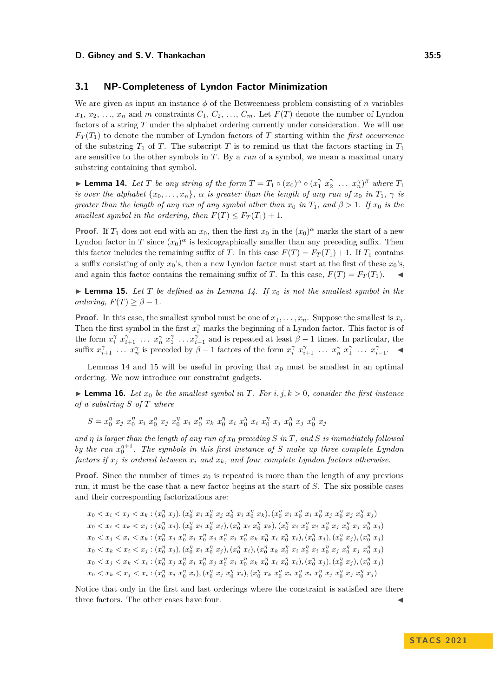## <span id="page-4-0"></span>**3.1 NP-Completeness of Lyndon Factor Minimization**

We are given as input an instance  $\phi$  of the Betweenness problem consisting of *n* variables  $x_1, x_2, \ldots, x_n$  and *m* constraints  $C_1, C_2, \ldots, C_m$ . Let  $F(T)$  denote the number of Lyndon factors of a string *T* under the alphabet ordering currently under consideration. We will use  $F_T(T_1)$  to denote the number of Lyndon factors of *T* starting within the *first occurrence* of the substring  $T_1$  of  $T$ . The subscript  $T$  is to remind us that the factors starting in  $T_1$ are sensitive to the other symbols in *T*. By a *run* of a symbol, we mean a maximal unary substring containing that symbol.

<span id="page-4-1"></span>▶ **Lemma 14.** Let T be any string of the form  $T = T_1 \circ (x_0)^\alpha \circ (x_1^\gamma x_2^\gamma \dots x_n^\gamma)^\beta$  where  $T_1$ *is over the alphabet*  $\{x_0, \ldots, x_n\}$ *,*  $\alpha$  *is greater than the length of any run of*  $x_0$  *in*  $T_1$ *,*  $\gamma$  *is greater than the length of any run of any symbol other than*  $x_0$  *in*  $T_1$ *, and*  $\beta > 1$ *. If*  $x_0$  *is the smallest symbol in the ordering, then*  $F(T) \leq F_T(T_1) + 1$ .

**Proof.** If  $T_1$  does not end with an  $x_0$ , then the first  $x_0$  in the  $(x_0)^\alpha$  marks the start of a new Lyndon factor in *T* since  $(x_0)^\alpha$  is lexicographically smaller than any preceding suffix. Then this factor includes the remaining suffix of *T*. In this case  $F(T) = F_T(T_1) + 1$ . If  $T_1$  contains a suffix consisting of only  $x_0$ 's, then a new Lyndon factor must start at the first of these  $x_0$ 's, and again this factor contains the remaining suffix of *T*. In this case,  $F(T) = F_T(T_1)$ .

<span id="page-4-2"></span>**• Lemma 15.** Let T be defined as in Lemma [14.](#page-4-1) If  $x_0$  is not the smallest symbol in the *ordering,*  $F(T) \geq \beta - 1$ *.* 

**Proof.** In this case, the smallest symbol must be one of  $x_1, \ldots, x_n$ . Suppose the smallest is  $x_i$ . Then the first symbol in the first  $x_i^{\gamma}$  marks the beginning of a Lyndon factor. This factor is of the form  $x_i^{\gamma}$   $x_{i+1}^{\gamma}$   $\ldots$   $x_n^{\gamma}$   $x_1^{\gamma}$   $\ldots$   $x_{i-1}^{\gamma}$  and is repeated at least  $\beta - 1$  times. In particular, the suffix  $x_{i+1}^{\gamma}$  ...  $x_n^{\gamma}$  is preceded by  $\beta-1$  factors of the form  $x_i^{\gamma} x_{i+1}^{\gamma}$  ...  $x_n^{\gamma} x_1^{\gamma}$  ...  $x_{i-1}^{\gamma}$ 

Lemmas [14](#page-4-1) and [15](#page-4-2) will be useful in proving that  $x_0$  must be smallest in an optimal ordering. We now introduce our constraint gadgets.

<span id="page-4-3"></span> $\blacktriangleright$  **Lemma 16.** Let  $x_0$  be the smallest symbol in T. For  $i, j, k > 0$ , consider the first instance *of a substring S of T where*

 $S = x_0^{\eta} \ x_j \ x_0^{\eta} \ x_i \ x_0^{\eta} \ x_j \ x_0^{\eta} \ x_i \ x_0^{\eta} \ x_k \ x_0^{\eta} \ x_i \ x_0^{\eta} \ x_i \ x_0^{\eta} \ x_j \ x_0^{\eta} \ x_j \ x_0^{\eta} \ x_j$ 

*and η is larger than the length of any run of x*<sup>0</sup> *preceding S in T, and S is immediately followed by the run*  $x_0^{\eta+1}$ . The symbols in this first instance of *S* make up three complete Lyndon *factors if*  $x_j$  *is ordered between*  $x_i$  *and*  $x_k$ *, and four complete Lyndon factors otherwise.* 

**Proof.** Since the number of times  $x_0$  is repeated is more than the length of any previous run, it must be the case that a new factor begins at the start of *S*. The six possible cases and their corresponding factorizations are:

 $x_0 < x_i < x_j < x_k : (x_0^{\eta} x_j), (x_0^{\eta} x_i x_0^{\eta} x_j x_0^{\eta} x_i x_0^{\eta} x_k), (x_0^{\eta} x_i x_0^{\eta} x_i x_0^{\eta} x_j x_0^{\eta} x_j x_0^{\eta} x_j)$  $x_0 < x_i < x_k < x_j : (x_0^{\eta} x_j), (x_0^{\eta} x_i x_0^{\eta} x_j), (x_0^{\eta} x_i x_0^{\eta} x_k), (x_0^{\eta} x_i x_0^{\eta} x_i x_0^{\eta} x_j x_0^{\eta} x_j x_0^{\eta} x_j)$  $x_0 < x_j < x_i < x_k : (x_0^{\eta} x_j x_0^{\eta} x_i x_0^{\eta} x_j x_0^{\eta} x_i x_0^{\eta} x_k x_0^{\eta} x_k x_0^{\eta} x_i x_0^{\eta} x_i), (x_0^{\eta} x_j), (x_0^{\eta} x_j), (x_0^{\eta} x_j)$  $x_0 < x_k < x_i < x_j : (x_0^{\eta} x_j), (x_0^{\eta} x_i x_0^{\eta} x_j), (x_0^{\eta} x_i), (x_0^{\eta} x_k x_0^{\eta} x_i x_0^{\eta} x_i x_0^{\eta} x_j x_0^{\eta} x_j x_0^{\eta} x_j)$  $x_0 < x_j < x_k < x_i : (x_0^{\eta} x_j x_0^{\eta} x_i x_0^{\eta} x_j x_0^{\eta} x_i x_0^{\eta} x_k x_0^{\eta} x_k x_0^{\eta} x_i x_0^{\eta} x_i), (x_0^{\eta} x_j), (x_0^{\eta} x_j), (x_0^{\eta} x_j)$  $x_0 < x_k < x_j < x_i : (x_0^{\eta} x_j x_0^{\eta} x_i), (x_0^{\eta} x_j x_0^{\eta} x_i), (x_0^{\eta} x_k x_0^{\eta} x_i x_0^{\eta} x_i x_0^{\eta} x_j x_0^{\eta} x_j x_0^{\eta} x_j)$ 

Notice that only in the first and last orderings where the constraint is satisfied are there three factors. The other cases have four.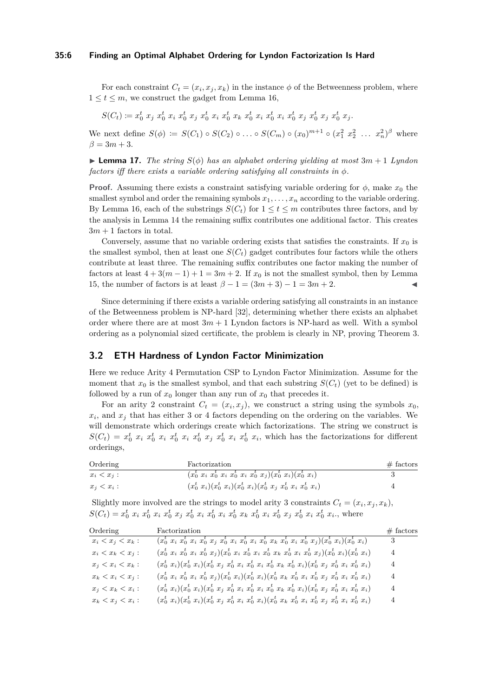#### **35:6 Finding an Optimal Alphabet Ordering for Lyndon Factorization Is Hard**

For each constraint  $C_t = (x_i, x_j, x_k)$  in the instance  $\phi$  of the Betweenness problem, where  $1 \leq t \leq m$ , we construct the gadget from Lemma [16,](#page-4-3)

$$
S(C_t) \coloneqq x_0^t \ x_j \ x_0^t \ x_i \ x_0^t \ x_j \ x_0^t \ x_i \ x_0^t \ x_k \ x_0^t \ x_i \ x_0^t \ x_i \ x_0^t \ x_j \ x_0^t \ x_j \ x_0^t \ x_j.
$$

We next define  $S(\phi) := S(C_1) \circ S(C_2) \circ \ldots \circ S(C_m) \circ (x_0)^{m+1} \circ (x_1^2 \ x_2^2 \ \ldots \ x_n^2)^{\beta}$  where  $\beta = 3m + 3.$ 

▶ **Lemma 17.** *The string*  $S(\phi)$  *has an alphabet ordering yielding at most*  $3m + 1$  *Lyndon factors iff there exists a variable ordering satisfying all constraints in ϕ.*

**Proof.** Assuming there exists a constraint satisfying variable ordering for  $\phi$ , make  $x_0$  the smallest symbol and order the remaining symbols  $x_1, \ldots, x_n$  according to the variable ordering. By Lemma [16,](#page-4-3) each of the substrings  $S(C_t)$  for  $1 \le t \le m$  contributes three factors, and by the analysis in Lemma [14](#page-4-1) the remaining suffix contributes one additional factor. This creates  $3m + 1$  factors in total.

Conversely, assume that no variable ordering exists that satisfies the constraints. If  $x<sub>0</sub>$  is the smallest symbol, then at least one  $S(C<sub>t</sub>)$  gadget contributes four factors while the others contribute at least three. The remaining suffix contributes one factor making the number of factors at least  $4 + 3(m - 1) + 1 = 3m + 2$ . If  $x<sub>0</sub>$  is not the smallest symbol, then by Lemma [15,](#page-4-2) the number of factors is at least  $\beta - 1 = (3m + 3) - 1 = 3m + 2$ .

Since determining if there exists a variable ordering satisfying all constraints in an instance of the Betweenness problem is NP-hard [\[32\]](#page-13-14), determining whether there exists an alphabet order where there are at most  $3m + 1$  Lyndon factors is NP-hard as well. With a symbol ordering as a polynomial sized certificate, the problem is clearly in NP, proving Theorem [3.](#page-1-2)

## <span id="page-5-0"></span>**3.2 ETH Hardness of Lyndon Factor Minimization**

Here we reduce Arity 4 Permutation CSP to Lyndon Factor Minimization. Assume for the moment that  $x_0$  is the smallest symbol, and that each substring  $S(C_t)$  (yet to be defined) is followed by a run of  $x_0$  longer than any run of  $x_0$  that precedes it.

For an arity 2 constraint  $C_t = (x_i, x_j)$ , we construct a string using the symbols  $x_0$ ,  $x_i$ , and  $x_j$  that has either 3 or 4 factors depending on the ordering on the variables. We will demonstrate which orderings create which factorizations. The string we construct is  $S(C_t) = x_0^t x_i x_0^t x_i x_0^t x_i x_0^t x_j x_0^t x_i x_0^t x_i$ , which has the factorizations for different orderings,

| Ordering      | Factorization                                                              | $\#$ factors |
|---------------|----------------------------------------------------------------------------|--------------|
| $x_i < x_j$ : | $(x_0^t, x_i, x_0^t, x_i, x_0^t, x_i, x_0^t, x_i)(x_0^t, x_i)(x_0^t, x_i)$ |              |
| $x_i < x_i$ : | $(x_0^t, x_i)(x_0^t, x_i)(x_0^t, x_i)(x_0^t, x_j, x_0^t, x_i, x_0^t, x_i)$ |              |

Slightly more involved are the strings to model arity 3 constraints  $C_t = (x_i, x_j, x_k)$ ,  $S(C_t) = x_0^t x_i x_0^t x_i x_0^t x_j x_0^t x_i x_0^t x_i x_0^t x_k x_0^t x_k x_0^t x_i x_0^t x_j x_0^t x_i x_0^t x_i$ , where

| Ordering            | Factorization                                                                                                              | $#$ factors |
|---------------------|----------------------------------------------------------------------------------------------------------------------------|-------------|
| $x_i < x_j < x_k$ : | $(x_0^t x_i x_0^t x_i x_0^t x_j x_0^t x_i x_0^t x_i x_0^t x_i x_0^t x_k x_0^t x_i x_0^t x_j)(x_0^t x_i)(x_0^t x_i)$        | 3           |
| $x_i < x_k < x_j$ : | $(x_0^t x_i x_0^t x_i x_0^t x_j)(x_0^t x_i x_0^t x_i x_0^t x_k x_0^t x_i x_0^t x_j)(x_0^t x_i)(x_0^t x_i)$                 | 4           |
| $x_j < x_i < x_k$ : | $(x_0^t, x_i)(x_0^t, x_i)(x_0^t, x_j, x_0^t, x_i, x_0^t, x_i, x_0^t, x_k, x_0^t, x_i)(x_0^t, x_j, x_0^t, x_i, x_0^t, x_i)$ | 4           |
| $x_k < x_i < x_j$ : | $(x_0^t x_i x_0^t x_i x_0^t x_j)(x_0^t x_i)(x_0^t x_i)(x_0^t x_k x_0^t x_i x_0^t x_j x_0^t x_i x_0^t x_i)$                 | 4           |
| $x_j < x_k < x_i$ : | $(x_0^t, x_i)(x_0^t, x_i)(x_0^t, x_j, x_0^t, x_i, x_0^t, x_i, x_0^t, x_k, x_0^t, x_i)(x_0^t, x_j, x_0^t, x_i, x_0^t, x_i)$ | $4^{\circ}$ |
| $x_k < x_j < x_i$ : | $(x_0^t, x_i)(x_0^t, x_i)(x_0^t, x_j, x_0^t, x_i, x_0^t, x_i)(x_0^t, x_k, x_0^t, x_i, x_0^t, x_j, x_0^t, x_i, x_0^t, x_i)$ | 4           |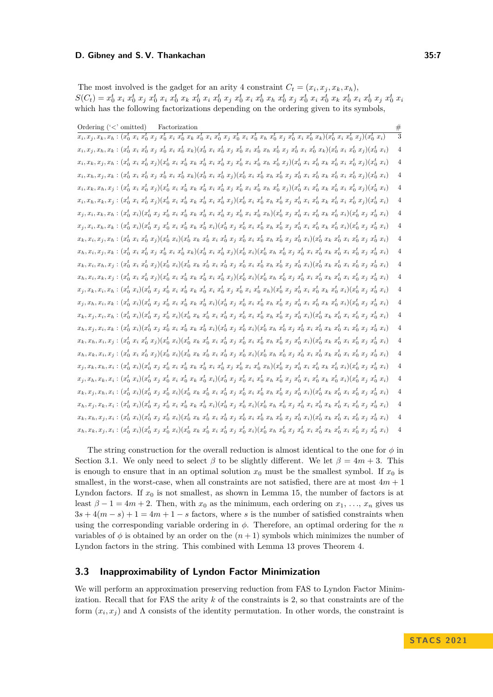The most involved is the gadget for an arity 4 constraint  $C_t = (x_i, x_j, x_k, x_h)$ ,  $S(C_t) = x_0^t\ x_i\ x_0^t\ x_j\ x_0^t\ x_i\ x_0^t\ x_k\ x_0^t\ x_i\ x_0^t\ x_j\ x_0^t\ x_i\ x_0^t\ x_k\ x_0^t\ x_j\ x_0^t\ x_i\ x_0^t\ x_k\ x_0^t\ x_i\ x_0^t\ x_j\ x_0^t\ x_j\ x_0^t\ x_k\ x_0^t\ x_k\ x_0^t\ x_k\ x_0^t\ x_k\ x_0^t\ x_k\ x_0^t\ x_k\ x_0^t\ x_k\ x_0^t\ x_k\ x_0^t\ x_k\ x_0^t\ x_k$ which has the following factorizations depending on the ordering given to its symbols,

| Ordering $(\langle \cdot \rangle)$ omitted)<br>Factorization                                                                                                                                                                                 | $\frac{\#}{3}$ |
|----------------------------------------------------------------------------------------------------------------------------------------------------------------------------------------------------------------------------------------------|----------------|
| $\overline{x_i},\overline{x_j},\overline{x_k},\overline{x_h}:(x_0^t\,\,x_i\,\,x_0^t\,\,x_j\,\,x_0^t\,\,x_i\,\,x_0^t\,\,x_k\,\,x_0^t\,\,x_i\,\,x_0^t\,\,x_j\,\,x_0^t\,\,x_i\,\,x_0^t\,\,x_j\,\,x_0^t\,\,x_j\,\,x_0^t\,\,x_i\,\,x_0^t\,\,x_k)$ |                |
| $x_i, x_j, x_h, x_k : (x_0^t\ x_i\ x_0^t\ x_j\ x_0^t\ x_i\ x_0^t\ x_k)(x_0^t\ x_i\ x_0^t\ x_j\ x_0^t\ x_i\ x_0^t\ x_h\ x_0^t\ x_j\ x_0^t\ x_i\ x_0^t\ x_k)(x_0^t\ x_i\ x_0^t\ x_j)(x_0^t\ x_i)$                                              | $\overline{4}$ |
| $x_i, x_k, x_j, x_h: (x_0^t\ x_i\ x_0^t\ x_j)(x_0^t\ x_i\ x_0^t\ x_k\ x_0^t\ x_i\ x_0^t\ x_j\ x_0^t\ x_i\ x_0^t\ x_i\ x_0^t\ x_h\ x_0^t\ x_j)(x_0^t\ x_i\ x_0^t\ x_i\ x_0^t\ x_i\ x_0^t\ x_j)(x_0^t\ x_i)$                                   | $\overline{4}$ |
| $x_i, x_h, x_j, x_k : (x_0^t\ x_i\ x_0^t\ x_j\ x_0^t\ x_i\ x_0^t\ x_k)(x_0^t\ x_i\ x_0^t\ x_j)(x_0^t\ x_i\ x_0^t\ x_h\ x_0^t\ x_j\ x_0^t\ x_i\ x_0^t\ x_k\ x_0^t\ x_i\ x_0^t\ x_j)(x_0^t\ x_i)$                                              | $\overline{4}$ |
| $x_i, x_k, x_h, x_j : (x_0^t\ x_i\ x_0^t\ x_j)(x_0^t\ x_i\ x_0^t\ x_k\ x_0^t\ x_i\ x_0^t\ x_j\ x_0^t\ x_i\ x_0^t\ x_h\ x_0^t\ x_j)(x_0^t\ x_i\ x_0^t\ x_k\ x_0^t\ x_i\ x_0^t\ x_j)(x_0^t\ x_i)$                                              | $\overline{4}$ |
| $x_i, x_h, x_k, x_j : (x_0^t\ x_i\ x_0^t\ x_j)(x_0^t\ x_i\ x_0^t\ x_k\ x_0^t\ x_i\ x_0^t\ x_j)(x_0^t\ x_i\ x_0^t\ x_h\ x_0^t\ x_j\ x_0^t\ x_i\ x_0^t\ x_k\ x_0^t\ x_i\ x_0^t\ x_j)(x_0^t\ x_i)$                                              | $\overline{4}$ |
| $x_j, x_i, x_k, x_h: (x_0^t, x_i)(x_0^t, x_j, x_0^t, x_i, x_0^t, x_k, x_0^t, x_i, x_0^t, x_j, x_0^t, x_i, x_0^t, x_h)(x_0^t, x_j, x_0^t, x_k, x_0^t, x_i)(x_0^t, x_j, x_0^t, x_i)$                                                           | $\overline{4}$ |
| $x_j, x_i, x_h, x_k : (x_0^t, x_i)(x_0^t, x_j, x_0^t, x_i, x_0^t, x_k, x_0^t, x_i)(x_0^t, x_j, x_0^t, x_i, x_0^t, x_j, x_0^t, x_i, x_0^t, x_k, x_0^t, x_i)(x_0^t, x_j, x_0^t, x_i)$                                                          | $\overline{4}$ |
| $x_k, x_i, x_j, x_h: (x_0^t\ x_i\ x_0^t\ x_j)(x_0^t\ x_i)(x_0^t\ x_k\ x_0^t\ x_i\ x_0^t\ x_j\ x_0^t\ x_j\ x_0^t\ x_h\ x_0^t\ x_j\ x_0^t\ x_i)(x_0^t\ x_k\ x_0^t\ x_i\ x_0^t\ x_j\ x_0^t\ x_i)$                                               | $\overline{4}$ |
| $x_h, x_i, x_j, x_k : (x_0^t\ x_i\ x_0^t\ x_j\ x_0^t\ x_i\ x_0^t\ x_k)(x_0^t\ x_i\ x_0^t\ x_j)(x_0^t\ x_i)(x_0^t\ x_h\ x_0^t\ x_j\ x_0^t\ x_i\ x_0^t\ x_k\ x_0^t\ x_i\ x_0^t\ x_j\ x_0^t\ x_i)$                                              | $\overline{4}$ |
| $x_k, x_i, x_h, x_j : (x_0^t\ x_i\ x_0^t\ x_j)(x_0^t\ x_i)(x_0^t\ x_k\ x_0^t\ x_i\ x_0^t\ x_j\ x_0^t\ x_j\ x_0^t\ x_h\ x_0^t\ x_j\ x_0^t\ x_i)(x_0^t\ x_k\ x_0^t\ x_i\ x_0^t\ x_j\ x_0^t\ x_i)$                                              | 4              |
| $x_h, x_i, x_k, x_j : (x_0^t\ x_i\ x_0^t\ x_j)(x_0^t\ x_i\ x_0^t\ x_k\ x_0^t\ x_i\ x_0^t\ x_j)(x_0^t\ x_i)(x_0^t\ x_h\ x_0^t\ x_j\ x_0^t\ x_i\ x_0^t\ x_k\ x_0^t\ x_i\ x_0^t\ x_j\ x_0^t\ x_i)$                                              | $\overline{4}$ |
| $x_j, x_k, x_i, x_h: (x_0^t\ x_i)(x_0^t\ x_j\ x_0^t\ x_i\ x_0^t\ x_k\ x_0^t\ x_i\ x_0^t\ x_i\ x_0^t\ x_j\ x_0^t\ x_i\ x_0^t\ x_h)(x_0^t\ x_j\ x_0^t\ x_i\ x_0^t\ x_i)(x_0^t\ x_j\ x_0^t\ x_i)$                                               | $\overline{4}$ |
| $x_j, x_h, x_i, x_k : (x_0^t\ x_i)(x_0^t\ x_j\ x_0^t\ x_i\ x_0^t\ x_k\ x_0^t\ x_i)(x_0^t\ x_j\ x_0^t\ x_i\ x_0^t\ x_h\ x_0^t\ x_j\ x_0^t\ x_i\ x_0^t\ x_k\ x_0^t\ x_i)(x_0^t\ x_j\ x_0^t\ x_i)$                                              | $\overline{4}$ |
| $x_k, x_j, x_i, x_h: (x_0^t\ x_i)(x_0^t\ x_j\ x_0^t\ x_i)(x_0^t\ x_k\ x_0^t\ x_i\ x_0^t\ x_j\ x_0^t\ x_j\ x_0^t\ x_n\ x_0^t\ x_j\ x_0^t\ x_i)(x_0^t\ x_k\ x_0^t\ x_i\ x_0^t\ x_j\ x_0^t\ x_i)$                                               | $\overline{4}$ |
| $x_h, x_j, x_i, x_k : (x_0^t\ x_i)(x_0^t\ x_j\ x_0^t\ x_i\ x_0^t\ x_k\ x_0^t\ x_i)(x_0^t\ x_j\ x_0^t\ x_i)(x_0^t\ x_h\ x_0^t\ x_j\ x_0^t\ x_i\ x_0^t\ x_k\ x_0^t\ x_i\ x_0^t\ x_j\ x_0^t\ x_i)$                                              | 4              |
| $x_k, x_h, x_i, x_j : (x_0^t\ x_i\ x_0^t\ x_j)(x_0^t\ x_i)(x_0^t\ x_k\ x_0^t\ x_i\ x_0^t\ x_j\ x_0^t\ x_i\ x_0^t\ x_h\ x_0^t\ x_j\ x_0^t\ x_i) (x_0^t\ x_k\ x_0^t\ x_i\ x_0^t\ x_j\ x_0^t\ x_i)$                                             | $\overline{4}$ |
| $x_h, x_k, x_i, x_j : (x_0^t\ x_i\ x_0^t\ x_j)(x_0^t\ x_i)(x_0^t\ x_k\ x_0^t\ x_i\ x_0^t\ x_j\ x_0^t\ x_j\ x_0^t\ x_h) (x_0^t\ x_h\ x_0^t\ x_j\ x_0^t\ x_i\ x_0^t\ x_k\ x_0^t\ x_i\ x_0^t\ x_j\ x_0^t\ x_i)$                                 | $\overline{4}$ |
| $x_j, x_k, x_h, x_i : (x_0^t\ x_i)(x_0^t\ x_j\ x_0^t\ x_i\ x_0^t\ x_k\ x_0^t\ x_i\ x_0^t\ x_j\ x_0^t\ x_i\ x_0^t\ x_h)(x_0^t\ x_j\ x_0^t\ x_i\ x_0^t\ x_k\ x_0^t\ x_i)(x_0^t\ x_j\ x_0^t\ x_i)$                                              | $\overline{4}$ |
| $x_j, x_h, x_k, x_i : (x_0^t\ x_i)(x_0^t\ x_j\ x_0^t\ x_i\ x_0^t\ x_k\ x_0^t\ x_i)(x_0^t\ x_j\ x_0^t\ x_i\ x_0^t\ x_h\ x_0^t\ x_j\ x_0^t\ x_i\ x_0^t\ x_k\ x_0^t\ x_i)(x_0^t\ x_j\ x_0^t\ x_i)$                                              | $\overline{4}$ |
| $x_k, x_j, x_h, x_i : (x_0^t\ x_i)(x_0^t\ x_j\ x_0^t\ x_i)(x_0^t\ x_k\ x_0^t\ x_i\ x_0^t\ x_j\ x_0^t\ x_j\ x_0^t\ x_h\ x_0^t\ x_j\ x_0^t\ x_i)(x_0^t\ x_k\ x_0^t\ x_i\ x_0^t\ x_j\ x_0^t\ x_i)$                                              | 4              |
| $x_h, x_j, x_k, x_i : (x_0^t\ x_i)(x_0^t\ x_j\ x_0^t\ x_i\ x_0^t\ x_k\ x_0^t\ x_i)(x_0^t\ x_j\ x_0^t\ x_i)(x_0^t\ x_h\ x_0^t\ x_j\ x_0^t\ x_i\ x_0^t\ x_k\ x_0^t\ x_i\ x_0^t\ x_j\ x_0^t\ x_i)$                                              | $\overline{4}$ |
| $x_k, x_h, x_j, x_i : (x_0^t\ x_i)(x_0^t\ x_j\ x_0^t\ x_i)(x_0^t\ x_k\ x_0^t\ x_i\ x_0^t\ x_j\ x_0^t\ x_j\ x_0^t\ x_h\ x_0^t\ x_j\ x_0^t\ x_i)(x_0^t\ x_k\ x_0^t\ x_i\ x_0^t\ x_j\ x_0^t\ x_i)$                                              | $\overline{4}$ |
| $x_h, x_k, x_j, x_i : (x_0^t\ x_i)(x_0^t\ x_j\ x_0^t\ x_i)(x_0^t\ x_k\ x_0^t\ x_i\ x_0^t\ x_j\ x_0^t\ x_j\ x_0^t\ x_h) (x_0^t\ x_h\ x_0^t\ x_j\ x_0^t\ x_i\ x_0^t\ x_k\ x_0^t\ x_i\ x_0^t\ x_j\ x_0^t\ x_i)$                                 | $\overline{4}$ |

The string construction for the overall reduction is almost identical to the one for  $\phi$  in Section [3.1.](#page-4-0) We only need to select  $\beta$  to be slightly different. We let  $\beta = 4m + 3$ . This is enough to ensure that in an optimal solution  $x_0$  must be the smallest symbol. If  $x_0$  is smallest, in the worst-case, when all constraints are not satisfied, there are at most  $4m + 1$ Lyndon factors. If  $x_0$  is not smallest, as shown in Lemma [15,](#page-4-2) the number of factors is at least  $\beta - 1 = 4m + 2$ . Then, with  $x_0$  as the minimum, each ordering on  $x_1, \ldots, x_n$  gives us  $3s + 4(m - s) + 1 = 4m + 1 - s$  factors, where *s* is the number of satisfied constraints when using the corresponding variable ordering in *ϕ*. Therefore, an optimal ordering for the *n* variables of  $\phi$  is obtained by an order on the  $(n+1)$  symbols which minimizes the number of Lyndon factors in the string. This combined with Lemma [13](#page-3-1) proves Theorem [4.](#page-1-0)

## <span id="page-6-0"></span>**3.3 Inapproximability of Lyndon Factor Minimization**

We will perform an approximation preserving reduction from FAS to Lyndon Factor Minimization. Recall that for FAS the arity *k* of the constraints is 2, so that constraints are of the form  $(x_i, x_j)$  and  $\Lambda$  consists of the identity permutation. In other words, the constraint is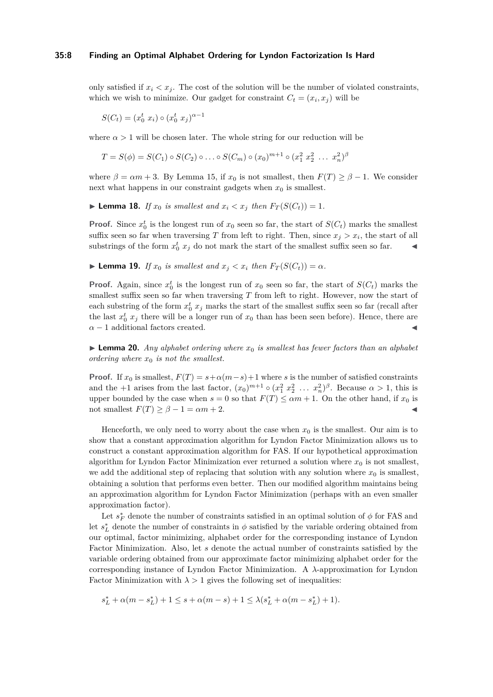#### **35:8 Finding an Optimal Alphabet Ordering for Lyndon Factorization Is Hard**

only satisfied if  $x_i \leq x_j$ . The cost of the solution will be the number of violated constraints, which we wish to minimize. Our gadget for constraint  $C_t = (x_i, x_j)$  will be

$$
S(C_t) = (x_0^t \ x_i) \circ (x_0^t \ x_j)^{\alpha - 1}
$$

where  $\alpha > 1$  will be chosen later. The whole string for our reduction will be

$$
T = S(\phi) = S(C_1) \circ S(C_2) \circ \ldots \circ S(C_m) \circ (x_0)^{m+1} \circ (x_1^2 \ x_2^2 \ \ldots \ x_n^2)^{\beta}
$$

where  $\beta = \alpha m + 3$ . By Lemma [15,](#page-4-2) if  $x_0$  is not smallest, then  $F(T) > \beta - 1$ . We consider next what happens in our constraint gadgets when  $x_0$  is smallest.

 $\blacktriangleright$  **Lemma 18.** *If*  $x_0$  *is smallest and*  $x_i < x_j$  *then*  $F_T(S(C_t)) = 1$ *.* 

**Proof.** Since  $x_0^t$  is the longest run of  $x_0$  seen so far, the start of  $S(C_t)$  marks the smallest suffix seen so far when traversing *T* from left to right. Then, since  $x_j > x_i$ , the start of all substrings of the form  $x_0^t$   $x_j$  do not mark the start of the smallest suffix seen so far.  $\blacktriangleleft$ 

**► Lemma 19.** *If*  $x_0$  *is smallest and*  $x_j < x_i$  *then*  $F_T(S(C_t)) = \alpha$ *.* 

**Proof.** Again, since  $x_0^t$  is the longest run of  $x_0$  seen so far, the start of  $S(C_t)$  marks the smallest suffix seen so far when traversing *T* from left to right. However, now the start of each substring of the form  $x_0^t$   $x_j$  marks the start of the smallest suffix seen so far (recall after the last  $x_0^t$   $x_j$  there will be a longer run of  $x_0$  than has been seen before). Hence, there are  $\alpha - 1$  additional factors created.

 $\blacktriangleright$  **Lemma 20.** *Any alphabet ordering where*  $x_0$  *is smallest has fewer factors than an alphabet ordering where x*<sup>0</sup> *is not the smallest.*

**Proof.** If  $x_0$  is smallest,  $F(T) = s + \alpha(m - s) + 1$  where *s* is the number of satisfied constraints and the  $+1$  arises from the last factor,  $(x_0)^{m+1} \circ (x_1^2 x_2^2 \dots x_n^2)^{\beta}$ . Because  $\alpha > 1$ , this is upper bounded by the case when  $s = 0$  so that  $F(T) \le \alpha m + 1$ . On the other hand, if  $x_0$  is not smallest  $F(T) \geq \beta - 1 = \alpha m + 2$ .

Henceforth, we only need to worry about the case when  $x_0$  is the smallest. Our aim is to show that a constant approximation algorithm for Lyndon Factor Minimization allows us to construct a constant approximation algorithm for FAS. If our hypothetical approximation algorithm for Lyndon Factor Minimization ever returned a solution where  $x_0$  is not smallest, we add the additional step of replacing that solution with any solution where  $x_0$  is smallest, obtaining a solution that performs even better. Then our modified algorithm maintains being an approximation algorithm for Lyndon Factor Minimization (perhaps with an even smaller approximation factor).

Let  $s_F^*$  denote the number of constraints satisfied in an optimal solution of  $\phi$  for FAS and let  $s_L^*$  denote the number of constraints in  $\phi$  satisfied by the variable ordering obtained from our optimal, factor minimizing, alphabet order for the corresponding instance of Lyndon Factor Minimization. Also, let *s* denote the actual number of constraints satisfied by the variable ordering obtained from our approximate factor minimizing alphabet order for the corresponding instance of Lyndon Factor Minimization. A *λ*-approximation for Lyndon Factor Minimization with  $\lambda > 1$  gives the following set of inequalities:

$$
s^*_L+\alpha(m-s^*_L)+1\leq s+\alpha(m-s)+1\leq \lambda(s^*_L+\alpha(m-s^*_L)+1).
$$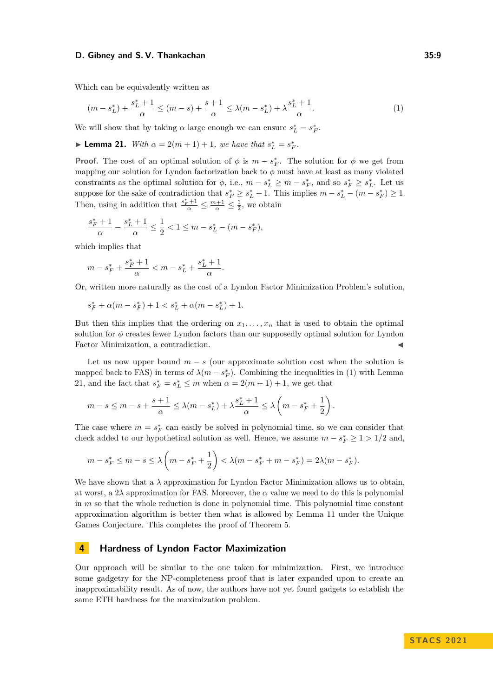Which can be equivalently written as

<span id="page-8-0"></span>
$$
(m - s_L^*) + \frac{s_L^* + 1}{\alpha} \le (m - s) + \frac{s + 1}{\alpha} \le \lambda (m - s_L^*) + \lambda \frac{s_L^* + 1}{\alpha}.
$$
 (1)

We will show that by taking  $\alpha$  large enough we can ensure  $s_L^* = s_F^*$ .

<span id="page-8-1"></span>► **Lemma 21.** *With*  $\alpha = 2(m + 1) + 1$ *, we have that*  $s_L^* = s_F^*$ *.* 

**Proof.** The cost of an optimal solution of  $\phi$  is  $m - s_F^*$ . The solution for  $\phi$  we get from mapping our solution for Lyndon factorization back to  $\phi$  must have at least as many violated constraints as the optimal solution for  $\phi$ , i.e.,  $m - s_L^* \geq m - s_F^*$ , and so  $s_F^* \geq s_L^*$ . Let us suppose for the sake of contradiction that  $s_F^* \geq s_L^* + 1$ . This implies  $m - s_L^* - (m - s_F^*) \geq 1$ . Then, using in addition that  $\frac{s_F^*+1}{\alpha} \leq \frac{m+1}{\alpha} \leq \frac{1}{2}$ , we obtain

$$
\frac{s_F^* + 1}{\alpha} - \frac{s_L^* + 1}{\alpha} \le \frac{1}{2} < 1 \le m - s_L^* - (m - s_F^*),
$$

which implies that

$$
m - s_F^* + \frac{s_F^* + 1}{\alpha} < m - s_L^* + \frac{s_L^* + 1}{\alpha}.
$$

Or, written more naturally as the cost of a Lyndon Factor Minimization Problem's solution,

$$
s^*_{F} + \alpha(m-s^*_{F})+1 < s^*_{L} + \alpha(m-s^*_{L})+1.
$$

But then this implies that the ordering on  $x_1, \ldots, x_n$  that is used to obtain the optimal solution for *ϕ* creates fewer Lyndon factors than our supposedly optimal solution for Lyndon Factor Minimization, a contradiction.

Let us now upper bound  $m - s$  (our approximate solution cost when the solution is mapped back to FAS) in terms of  $\lambda(m - s_F^*)$ . Combining the inequalities in [\(1\)](#page-8-0) with Lemma [21,](#page-8-1) and the fact that  $s_F^* = s_L^* \leq m$  when  $\alpha = 2(m + 1) + 1$ , we get that

$$
m-s\leq m-s+\frac{s+1}{\alpha}\leq \lambda(m-s^*_{L})+\lambda \frac{s^*_{L}+1}{\alpha}\leq \lambda\left(m-s^*_{F}+\frac{1}{2}\right).
$$

The case where  $m = s_F^*$  can easily be solved in polynomial time, so we can consider that check added to our hypothetical solution as well. Hence, we assume  $m - s_F^* \geq 1 > 1/2$  and,

$$
m - s_F^* \le m - s \le \lambda \left( m - s_F^* + \frac{1}{2} \right) < \lambda (m - s_F^* + m - s_F^*) = 2\lambda (m - s_F^*).
$$

We have shown that a  $\lambda$  approximation for Lyndon Factor Minimization allows us to obtain, at worst, a  $2\lambda$  approximation for FAS. Moreover, the  $\alpha$  value we need to do this is polynomial in *m* so that the whole reduction is done in polynomial time. This polynomial time constant approximation algorithm is better then what is allowed by Lemma [11](#page-3-2) under the Unique Games Conjecture. This completes the proof of Theorem [5.](#page-1-1)

# **4 Hardness of Lyndon Factor Maximization**

Our approach will be similar to the one taken for minimization. First, we introduce some gadgetry for the NP-completeness proof that is later expanded upon to create an inapproximability result. As of now, the authors have not yet found gadgets to establish the same ETH hardness for the maximization problem.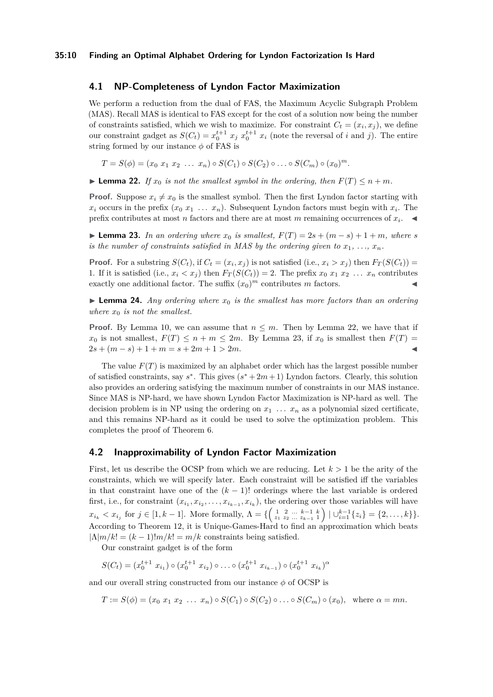## <span id="page-9-0"></span>**4.1 NP-Completeness of Lyndon Factor Maximization**

We perform a reduction from the dual of FAS, the Maximum Acyclic Subgraph Problem (MAS). Recall MAS is identical to FAS except for the cost of a solution now being the number of constraints satisfied, which we wish to maximize. For constraint  $C_t = (x_i, x_j)$ , we define our constraint gadget as  $S(C_t) = x_0^{t+1} x_j x_0^{t+1} x_i$  (note the reversal of *i* and *j*). The entire string formed by our instance *ϕ* of FAS is

$$
T = S(\phi) = (x_0 \ x_1 \ x_2 \ \dots \ x_n) \circ S(C_1) \circ S(C_2) \circ \dots \circ S(C_m) \circ (x_0)^m.
$$

<span id="page-9-2"></span>▶ **Lemma 22.** *If*  $x_0$  *is not the smallest symbol in the ordering, then*  $F(T) \leq n + m$ *.* 

**Proof.** Suppose  $x_i \neq x_0$  is the smallest symbol. Then the first Lyndon factor starting with  $x_i$  occurs in the prefix  $(x_0 x_1 \ldots x_n)$ . Subsequent Lyndon factors must begin with  $x_i$ . The prefix contributes at most *n* factors and there are at most *m* remaining occurrences of  $x_i$ .

<span id="page-9-3"></span>▶ **Lemma 23.** *In an ordering where*  $x_0$  *is smallest,*  $F(T) = 2s + (m - s) + 1 + m$ *, where s is the number of constraints satisfied in MAS by the ordering given to*  $x_1, \ldots, x_n$ .

**Proof.** For a substring  $S(C_t)$ , if  $C_t = (x_i, x_j)$  is not satisfied (i.e.,  $x_i > x_j$ ) then  $F_T(S(C_t))$ 1. If it is satisfied (i.e.,  $x_i < x_j$ ) then  $F_T(S(C_t)) = 2$ . The prefix  $x_0 x_1 x_2 \ldots x_n$  contributes exactly one additional factor. The suffix  $(x_0)^m$  contributes *m* factors.

**• Lemma 24.** Any ordering where  $x_0$  is the smallest has more factors than an ordering *where*  $x_0$  *is not the smallest.* 

**Proof.** By Lemma [10,](#page-2-1) we can assume that  $n \leq m$ . Then by Lemma [22,](#page-9-2) we have that if  $x_0$  is not smallest,  $F(T) \leq n + m \leq 2m$ . By Lemma [23,](#page-9-3) if  $x_0$  is smallest then  $F(T) =$  $2s + (m - s) + 1 + m = s + 2m + 1 > 2m$ .

The value  $F(T)$  is maximized by an alphabet order which has the largest possible number of satisfied constraints, say  $s^*$ . This gives  $(s^* + 2m + 1)$  Lyndon factors. Clearly, this solution also provides an ordering satisfying the maximum number of constraints in our MAS instance. Since MAS is NP-hard, we have shown Lyndon Factor Maximization is NP-hard as well. The decision problem is in NP using the ordering on  $x_1 \ldots x_n$  as a polynomial sized certificate, and this remains NP-hard as it could be used to solve the optimization problem. This completes the proof of Theorem [6.](#page-1-3)

## <span id="page-9-1"></span>**4.2 Inapproximability of Lyndon Factor Maximization**

First, let us describe the OCSP from which we are reducing. Let *k >* 1 be the arity of the constraints, which we will specify later. Each constraint will be satisfied iff the variables in that constraint have one of the  $(k-1)!$  orderings where the last variable is ordered first, i.e., for constraint  $(x_{i_1}, x_{i_2}, \ldots, x_{i_{k-1}}, x_{i_k})$ , the ordering over those variables will have  $x_{i_k} < x_{i_j}$  for  $j \in [1, k-1]$ . More formally,  $\Lambda = \{ \begin{pmatrix} 1 & 2 & \dots & k-1 & k \\ z_1 & z_2 & \dots & z_{k-1} & 1 \end{pmatrix} | \bigcup_{i=1}^{k-1} \{z_i\} = \{2, \dots, k\} \}.$ According to Theorem [12,](#page-3-0) it is Unique-Games-Hard to find an approximation which beats  $|\Lambda|m/k| = (k-1)!m/k! = m/k$  constraints being satisfied.

Our constraint gadget is of the form

$$
S(C_t) = (x_0^{t+1} \ x_{i_1}) \circ (x_0^{t+1} \ x_{i_2}) \circ \dots \circ (x_0^{t+1} \ x_{i_{k-1}}) \circ (x_0^{t+1} \ x_{i_k})^{\alpha}
$$

and our overall string constructed from our instance  $\phi$  of OCSP is

<span id="page-9-4"></span>
$$
T := S(\phi) = (x_0 x_1 x_2 \dots x_n) \circ S(C_1) \circ S(C_2) \circ \dots \circ S(C_m) \circ (x_0), \text{ where } \alpha = mn.
$$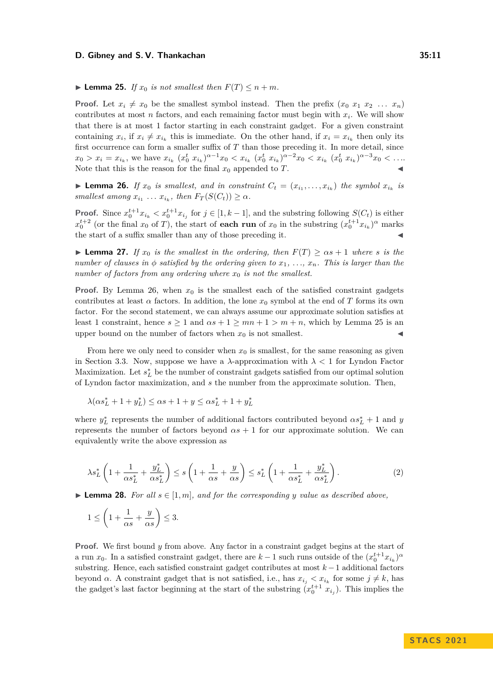#### $\blacktriangleright$  **Lemma 25.** *If*  $x_0$  *is not smallest then*  $F(T) \leq n + m$ *.*

**Proof.** Let  $x_i \neq x_0$  be the smallest symbol instead. Then the prefix  $(x_0, x_1, x_2, \ldots, x_n)$ contributes at most  $n$  factors, and each remaining factor must begin with  $x_i$ . We will show that there is at most 1 factor starting in each constraint gadget. For a given constraint containing  $x_i$ , if  $x_i \neq x_{i_k}$  this is immediate. On the other hand, if  $x_i = x_{i_k}$  then only its first occurrence can form a smaller suffix of *T* than those preceding it. In more detail, since  $x_0 > x_i = x_{i_k}$ , we have  $x_{i_k}$   $(x_0^t x_{i_k})^{\alpha-1} x_0 < x_{i_k}$   $(x_0^t x_{i_k})^{\alpha-2} x_0 < x_{i_k}$   $(x_0^t x_{i_k})^{\alpha-3} x_0 < \ldots$ Note that this is the reason for the final  $x_0$  appended to  $T$ .

<span id="page-10-0"></span>▶ **Lemma 26.** *If*  $x_0$  *is smallest, and in constraint*  $C_t = (x_{i_1}, \ldots, x_{i_k})$  *the symbol*  $x_{i_k}$  *is*  $smallest$  among  $x_{i_1} \ldots x_{i_k}$ , then  $F_T(S(C_t)) \geq \alpha$ .

**Proof.** Since  $x_0^{t+1}x_{i_k} < x_0^{t+1}x_{i_j}$  for  $j \in [1, k-1]$ , and the substring following  $S(C_t)$  is either  $x_0^{t+2}$  (or the final *x*<sub>0</sub> of *T*), the start of **each run** of *x*<sub>0</sub> in the substring  $(x_0^{t+1}x_{i_k})^{\alpha}$  marks the start of a suffix smaller than any of those preceding it.

**Example 27.** *If*  $x_0$  *is the smallest in the ordering, then*  $F(T) \geq \alpha s + 1$  *where s is the number of clauses in*  $\phi$  *satisfied by the ordering given to*  $x_1, \ldots, x_n$ . This is larger than the *number of factors from any ordering where*  $x_0$  *is not the smallest.* 

**Proof.** By Lemma [26,](#page-10-0) when  $x_0$  is the smallest each of the satisfied constraint gadgets contributes at least  $\alpha$  factors. In addition, the lone  $x_0$  symbol at the end of *T* forms its own factor. For the second statement, we can always assume our approximate solution satisfies at least 1 constraint, hence  $s > 1$  and  $\alpha s + 1 > mn + 1 > m + n$ , which by Lemma [25](#page-9-4) is an upper bound on the number of factors when  $x_0$  is not smallest.

From here we only need to consider when  $x_0$  is smallest, for the same reasoning as given in Section [3.3.](#page-6-0) Now, suppose we have a  $\lambda$ -approximation with  $\lambda < 1$  for Lyndon Factor Maximization. Let  $s_L^*$  be the number of constraint gadgets satisfied from our optimal solution of Lyndon factor maximization, and *s* the number from the approximate solution. Then,

$$
\lambda(\alpha s^*_L+1+y^*_L)\leq \alpha s+1+y\leq \alpha s^*_L+1+y^*_L
$$

where  $y_L^*$  represents the number of additional factors contributed beyond  $\alpha s_L^* + 1$  and *y* represents the number of factors beyond  $\alpha s + 1$  for our approximate solution. We can equivalently write the above expression as

<span id="page-10-2"></span>
$$
\lambda s_L^* \left( 1 + \frac{1}{\alpha s_L^*} + \frac{y_L^*}{\alpha s_L^*} \right) \le s \left( 1 + \frac{1}{\alpha s} + \frac{y}{\alpha s} \right) \le s_L^* \left( 1 + \frac{1}{\alpha s_L^*} + \frac{y_L^*}{\alpha s_L^*} \right). \tag{2}
$$

<span id="page-10-1"></span>▶ **Lemma 28.** For all  $s \in [1, m]$ *, and for the corresponding y value as described above,* 

$$
1 \le \left(1 + \frac{1}{\alpha s} + \frac{y}{\alpha s}\right) \le 3.
$$

**Proof.** We first bound *y* from above. Any factor in a constraint gadget begins at the start of a run  $x_0$ . In a satisfied constraint gadget, there are  $k-1$  such runs outside of the  $(x_0^{t+1}x_{i_k})^{\alpha}$ substring. Hence, each satisfied constraint gadget contributes at most *k* −1 additional factors beyond *α*. A constraint gadget that is not satisfied, i.e., has  $x_{i_j} < x_{i_k}$  for some  $j \neq k$ , has the gadget's last factor beginning at the start of the substring  $(x_0^{t+1} x_{i_j})$ . This implies the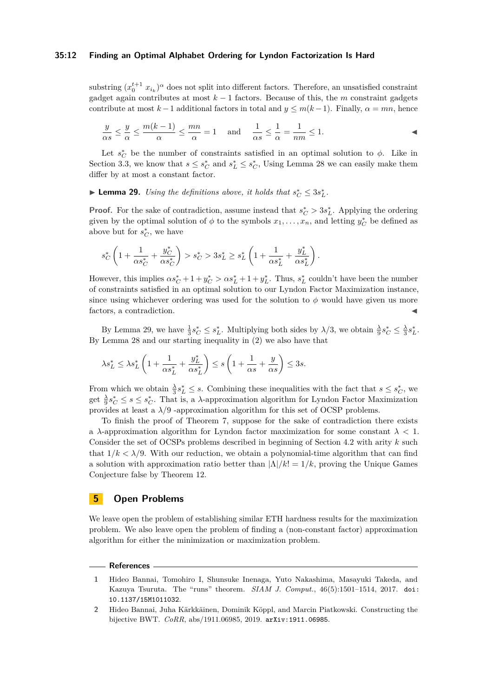#### **35:12 Finding an Optimal Alphabet Ordering for Lyndon Factorization Is Hard**

substring  $(x_0^{t+1} x_{i_k})^{\alpha}$  does not split into different factors. Therefore, an unsatisfied constraint gadget again contributes at most  $k-1$  factors. Because of this, the *m* constraint gadgets contribute at most  $k-1$  additional factors in total and  $y \leq m(k-1)$ . Finally,  $\alpha = mn$ , hence

$$
\frac{y}{\alpha s} \le \frac{y}{\alpha} \le \frac{m(k-1)}{\alpha} \le \frac{mn}{\alpha} = 1 \quad \text{and} \quad \frac{1}{\alpha s} \le \frac{1}{\alpha} = \frac{1}{nm} \le 1.
$$

Let  $s_C^*$  be the number of constraints satisfied in an optimal solution to  $\phi$ . Like in Section [3.3,](#page-6-0) we know that  $s \leq s_C^*$  and  $s_L^* \leq s_C^*$ , Using Lemma [28](#page-10-1) we can easily make them differ by at most a constant factor.

<span id="page-11-2"></span>▶ **Lemma 29.** *Using the definitions above, it holds that*  $s_C^* \leq 3s_L^*$ .

**Proof.** For the sake of contradiction, assume instead that  $s_C^* > 3s_L^*$ . Applying the ordering given by the optimal solution of  $\phi$  to the symbols  $x_1, \ldots, x_n$ , and letting  $y_C^*$  be defined as above but for  $s_C^*$ , we have

$$
s_C^*\left(1+\frac{1}{\alpha s_C^*}+\frac{y_C^*}{\alpha s_C^*}\right)>s_C^*>3s_L^*\geq s_L^*\left(1+\frac{1}{\alpha s_L^*}+\frac{y_L^*}{\alpha s_L^*}\right).
$$

However, this implies  $\alpha s_C^* + 1 + y_C^* > \alpha s_L^* + 1 + y_L^*$ . Thus,  $s_L^*$  couldn't have been the number of constraints satisfied in an optimal solution to our Lyndon Factor Maximization instance, since using whichever ordering was used for the solution to  $\phi$  would have given us more factors, a contradiction.

By Lemma [29,](#page-11-2) we have  $\frac{1}{3}s_C^* \leq s_L^*$ . Multiplying both sides by  $\lambda/3$ , we obtain  $\frac{\lambda}{9}s_C^* \leq \frac{\lambda}{3}s_L^*$ . By Lemma [28](#page-10-1) and our starting inequality in [\(2\)](#page-10-2) we also have that

$$
\lambda s_L^* \le \lambda s_L^* \left( 1 + \frac{1}{\alpha s_L^*} + \frac{y_L^*}{\alpha s_L^*} \right) \le s \left( 1 + \frac{1}{\alpha s} + \frac{y}{\alpha s} \right) \le 3s.
$$

From which we obtain  $\frac{\lambda}{3} s_L^* \leq s$ . Combining these inequalities with the fact that  $s \leq s_C^*$ , we get  $\frac{\lambda}{9} s_C^* \leq s \leq s_C^*$ . That is, a *λ*-approximation algorithm for Lyndon Factor Maximization provides at least a  $\lambda/9$  -approximation algorithm for this set of OCSP problems.

To finish the proof of Theorem [7,](#page-1-4) suppose for the sake of contradiction there exists a *λ*-approximation algorithm for Lyndon factor maximization for some constant *λ <* 1. Consider the set of OCSPs problems described in beginning of Section [4.2](#page-9-1) with arity *k* such that  $1/k < \lambda/9$ . With our reduction, we obtain a polynomial-time algorithm that can find a solution with approximation ratio better than  $|\Lambda|/k! = 1/k$ , proving the Unique Games Conjecture false by Theorem [12.](#page-3-0)

## **5 Open Problems**

We leave open the problem of establishing similar ETH hardness results for the maximization problem. We also leave open the problem of finding a (non-constant factor) approximation algorithm for either the minimization or maximization problem.

#### **References**

<span id="page-11-0"></span>**<sup>1</sup>** Hideo Bannai, Tomohiro I, Shunsuke Inenaga, Yuto Nakashima, Masayuki Takeda, and Kazuya Tsuruta. The "runs" theorem. *SIAM J. Comput.*, 46(5):1501–1514, 2017. [doi:](https://doi.org/10.1137/15M1011032) [10.1137/15M1011032](https://doi.org/10.1137/15M1011032).

<span id="page-11-1"></span>**<sup>2</sup>** Hideo Bannai, Juha Kärkkäinen, Dominik Köppl, and Marcin Piatkowski. Constructing the bijective BWT. *CoRR*, abs/1911.06985, 2019. [arXiv:1911.06985](http://arxiv.org/abs/1911.06985).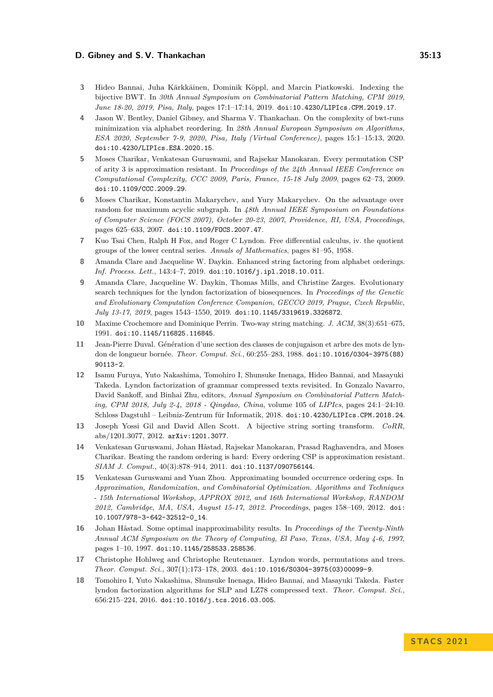- <span id="page-12-6"></span>**3** Hideo Bannai, Juha Kärkkäinen, Dominik Köppl, and Marcin Piatkowski. Indexing the bijective BWT. In *30th Annual Symposium on Combinatorial Pattern Matching, CPM 2019, June 18-20, 2019, Pisa, Italy*, pages 17:1–17:14, 2019. [doi:10.4230/LIPIcs.CPM.2019.17](https://doi.org/10.4230/LIPIcs.CPM.2019.17).
- <span id="page-12-9"></span>**4** Jason W. Bentley, Daniel Gibney, and Sharma V. Thankachan. On the complexity of bwt-runs minimization via alphabet reordering. In *28th Annual European Symposium on Algorithms, ESA 2020, September 7-9, 2020, Pisa, Italy (Virtual Conference)*, pages 15:1–15:13, 2020. [doi:10.4230/LIPIcs.ESA.2020.15](https://doi.org/10.4230/LIPIcs.ESA.2020.15).
- <span id="page-12-10"></span>**5** Moses Charikar, Venkatesan Guruswami, and Rajsekar Manokaran. Every permutation CSP of arity 3 is approximation resistant. In *Proceedings of the 24th Annual IEEE Conference on Computational Complexity, CCC 2009, Paris, France, 15-18 July 2009*, pages 62–73, 2009. [doi:10.1109/CCC.2009.29](https://doi.org/10.1109/CCC.2009.29).
- <span id="page-12-11"></span>**6** Moses Charikar, Konstantin Makarychev, and Yury Makarychev. On the advantage over random for maximum acyclic subgraph. In *48th Annual IEEE Symposium on Foundations of Computer Science (FOCS 2007), October 20-23, 2007, Providence, RI, USA, Proceedings*, pages 625–633, 2007. [doi:10.1109/FOCS.2007.47](https://doi.org/10.1109/FOCS.2007.47).
- <span id="page-12-1"></span>**7** Kuo Tsai Chen, Ralph H Fox, and Roger C Lyndon. Free differential calculus, iv. the quotient groups of the lower central series. *Annals of Mathematics*, pages 81–95, 1958.
- <span id="page-12-7"></span>**8** Amanda Clare and Jacqueline W. Daykin. Enhanced string factoring from alphabet orderings. *Inf. Process. Lett.*, 143:4–7, 2019. [doi:10.1016/j.ipl.2018.10.011](https://doi.org/10.1016/j.ipl.2018.10.011).
- <span id="page-12-8"></span>**9** Amanda Clare, Jacqueline W. Daykin, Thomas Mills, and Christine Zarges. Evolutionary search techniques for the lyndon factorization of biosequences. In *Proceedings of the Genetic and Evolutionary Computation Conference Companion, GECCO 2019, Prague, Czech Republic, July 13-17, 2019*, pages 1543–1550, 2019. [doi:10.1145/3319619.3326872](https://doi.org/10.1145/3319619.3326872).
- <span id="page-12-0"></span>**10** Maxime Crochemore and Dominique Perrin. Two-way string matching. *J. ACM*, 38(3):651–675, 1991. [doi:10.1145/116825.116845](https://doi.org/10.1145/116825.116845).
- <span id="page-12-14"></span>**11** Jean-Pierre Duval. Génération d'une section des classes de conjugaison et arbre des mots de lyndon de longueur bornée. *Theor. Comput. Sci.*, 60:255–283, 1988. [doi:10.1016/0304-3975\(88\)](https://doi.org/10.1016/0304-3975(88)90113-2) [90113-2](https://doi.org/10.1016/0304-3975(88)90113-2).
- <span id="page-12-3"></span>**12** Isamu Furuya, Yuto Nakashima, Tomohiro I, Shunsuke Inenaga, Hideo Bannai, and Masayuki Takeda. Lyndon factorization of grammar compressed texts revisited. In Gonzalo Navarro, David Sankoff, and Binhai Zhu, editors, *Annual Symposium on Combinatorial Pattern Matching, CPM 2018, July 2-4, 2018 - Qingdao, China*, volume 105 of *LIPIcs*, pages 24:1–24:10. Schloss Dagstuhl – Leibniz-Zentrum für Informatik, 2018. [doi:10.4230/LIPIcs.CPM.2018.24](https://doi.org/10.4230/LIPIcs.CPM.2018.24).
- <span id="page-12-5"></span>**13** Joseph Yossi Gil and David Allen Scott. A bijective string sorting transform. *CoRR*, abs/1201.3077, 2012. [arXiv:1201.3077](http://arxiv.org/abs/1201.3077).
- <span id="page-12-15"></span>**14** Venkatesan Guruswami, Johan Håstad, Rajsekar Manokaran, Prasad Raghavendra, and Moses Charikar. Beating the random ordering is hard: Every ordering CSP is approximation resistant. *SIAM J. Comput.*, 40(3):878–914, 2011. [doi:10.1137/090756144](https://doi.org/10.1137/090756144).
- <span id="page-12-12"></span>**15** Venkatesan Guruswami and Yuan Zhou. Approximating bounded occurrence ordering csps. In *Approximation, Randomization, and Combinatorial Optimization. Algorithms and Techniques - 15th International Workshop, APPROX 2012, and 16th International Workshop, RANDOM 2012, Cambridge, MA, USA, August 15-17, 2012. Proceedings*, pages 158–169, 2012. [doi:](https://doi.org/10.1007/978-3-642-32512-0_14) [10.1007/978-3-642-32512-0\\_14](https://doi.org/10.1007/978-3-642-32512-0_14).
- <span id="page-12-13"></span>**16** Johan Håstad. Some optimal inapproximability results. In *Proceedings of the Twenty-Ninth Annual ACM Symposium on the Theory of Computing, El Paso, Texas, USA, May 4-6, 1997*, pages 1–10, 1997. [doi:10.1145/258533.258536](https://doi.org/10.1145/258533.258536).
- <span id="page-12-2"></span>**17** Christophe Hohlweg and Christophe Reutenauer. Lyndon words, permutations and trees. *Theor. Comput. Sci.*, 307(1):173–178, 2003. [doi:10.1016/S0304-3975\(03\)00099-9](https://doi.org/10.1016/S0304-3975(03)00099-9).
- <span id="page-12-4"></span>**18** Tomohiro I, Yuto Nakashima, Shunsuke Inenaga, Hideo Bannai, and Masayuki Takeda. Faster lyndon factorization algorithms for SLP and LZ78 compressed text. *Theor. Comput. Sci.*, 656:215–224, 2016. [doi:10.1016/j.tcs.2016.03.005](https://doi.org/10.1016/j.tcs.2016.03.005).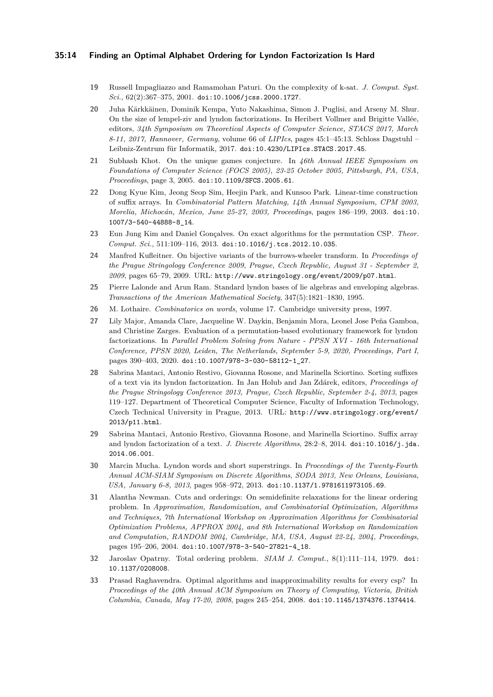#### **35:14 Finding an Optimal Alphabet Ordering for Lyndon Factorization Is Hard**

- <span id="page-13-12"></span>**19** Russell Impagliazzo and Ramamohan Paturi. On the complexity of k-sat. *J. Comput. Syst. Sci.*, 62(2):367–375, 2001. [doi:10.1006/jcss.2000.1727](https://doi.org/10.1006/jcss.2000.1727).
- <span id="page-13-4"></span>**20** Juha Kärkkäinen, Dominik Kempa, Yuto Nakashima, Simon J. Puglisi, and Arseny M. Shur. On the size of lempel-ziv and lyndon factorizations. In Heribert Vollmer and Brigitte Vallée, editors, *34th Symposium on Theoretical Aspects of Computer Science, STACS 2017, March 8-11, 2017, Hannover, Germany*, volume 66 of *LIPIcs*, pages 45:1–45:13. Schloss Dagstuhl – Leibniz-Zentrum für Informatik, 2017. [doi:10.4230/LIPIcs.STACS.2017.45](https://doi.org/10.4230/LIPIcs.STACS.2017.45).
- <span id="page-13-11"></span>**21** Subhash Khot. On the unique games conjecture. In *46th Annual IEEE Symposium on Foundations of Computer Science (FOCS 2005), 23-25 October 2005, Pittsburgh, PA, USA, Proceedings*, page 3, 2005. [doi:10.1109/SFCS.2005.61](https://doi.org/10.1109/SFCS.2005.61).
- <span id="page-13-10"></span>**22** Dong Kyue Kim, Jeong Seop Sim, Heejin Park, and Kunsoo Park. Linear-time construction of suffix arrays. In *Combinatorial Pattern Matching, 14th Annual Symposium, CPM 2003, Morelia, Michocán, Mexico, June 25-27, 2003, Proceedings*, pages 186–199, 2003. [doi:10.](https://doi.org/10.1007/3-540-44888-8_14) [1007/3-540-44888-8\\_14](https://doi.org/10.1007/3-540-44888-8_14).
- <span id="page-13-13"></span>**23** Eun Jung Kim and Daniel Gonçalves. On exact algorithms for the permutation CSP. *Theor. Comput. Sci.*, 511:109–116, 2013. [doi:10.1016/j.tcs.2012.10.035](https://doi.org/10.1016/j.tcs.2012.10.035).
- <span id="page-13-0"></span>**24** Manfred Kufleitner. On bijective variants of the burrows-wheeler transform. In *Proceedings of the Prague Stringology Conference 2009, Prague, Czech Republic, August 31 - September 2, 2009*, pages 65–79, 2009. URL: <http://www.stringology.org/event/2009/p07.html>.
- <span id="page-13-3"></span>**25** Pierre Lalonde and Arun Ram. Standard lyndon bases of lie algebras and enveloping algebras. *Transactions of the American Mathematical Society*, 347(5):1821–1830, 1995.
- <span id="page-13-6"></span>**26** M. Lothaire. *Combinatorics on words*, volume 17. Cambridge university press, 1997.
- <span id="page-13-7"></span>**27** Lily Major, Amanda Clare, Jacqueline W. Daykin, Benjamin Mora, Leonel Jose Peña Gamboa, and Christine Zarges. Evaluation of a permutation-based evolutionary framework for lyndon factorizations. In *Parallel Problem Solving from Nature - PPSN XVI - 16th International Conference, PPSN 2020, Leiden, The Netherlands, September 5-9, 2020, Proceedings, Part I*, pages 390–403, 2020. [doi:10.1007/978-3-030-58112-1\\_27](https://doi.org/10.1007/978-3-030-58112-1_27).
- <span id="page-13-1"></span>**28** Sabrina Mantaci, Antonio Restivo, Giovanna Rosone, and Marinella Sciortino. Sorting suffixes of a text via its lyndon factorization. In Jan Holub and Jan Zdárek, editors, *Proceedings of the Prague Stringology Conference 2013, Prague, Czech Republic, September 2-4, 2013*, pages 119–127. Department of Theoretical Computer Science, Faculty of Information Technology, Czech Technical University in Prague, 2013. URL: [http://www.stringology.org/event/](http://www.stringology.org/event/2013/p11.html) [2013/p11.html](http://www.stringology.org/event/2013/p11.html).
- <span id="page-13-5"></span>**29** Sabrina Mantaci, Antonio Restivo, Giovanna Rosone, and Marinella Sciortino. Suffix array and lyndon factorization of a text. *J. Discrete Algorithms*, 28:2–8, 2014. [doi:10.1016/j.jda.](https://doi.org/10.1016/j.jda.2014.06.001) [2014.06.001](https://doi.org/10.1016/j.jda.2014.06.001).
- <span id="page-13-2"></span>**30** Marcin Mucha. Lyndon words and short superstrings. In *Proceedings of the Twenty-Fourth Annual ACM-SIAM Symposium on Discrete Algorithms, SODA 2013, New Orleans, Louisiana, USA, January 6-8, 2013*, pages 958–972, 2013. [doi:10.1137/1.9781611973105.69](https://doi.org/10.1137/1.9781611973105.69).
- <span id="page-13-8"></span>**31** Alantha Newman. Cuts and orderings: On semidefinite relaxations for the linear ordering problem. In *Approximation, Randomization, and Combinatorial Optimization, Algorithms and Techniques, 7th International Workshop on Approximation Algorithms for Combinatorial Optimization Problems, APPROX 2004, and 8th International Workshop on Randomization and Computation, RANDOM 2004, Cambridge, MA, USA, August 22-24, 2004, Proceedings*, pages 195–206, 2004. [doi:10.1007/978-3-540-27821-4\\_18](https://doi.org/10.1007/978-3-540-27821-4_18).
- <span id="page-13-14"></span>**32** Jaroslav Opatrny. Total ordering problem. *SIAM J. Comput.*, 8(1):111–114, 1979. [doi:](https://doi.org/10.1137/0208008) [10.1137/0208008](https://doi.org/10.1137/0208008).
- <span id="page-13-9"></span>**33** Prasad Raghavendra. Optimal algorithms and inapproximability results for every csp? In *Proceedings of the 40th Annual ACM Symposium on Theory of Computing, Victoria, British Columbia, Canada, May 17-20, 2008*, pages 245–254, 2008. [doi:10.1145/1374376.1374414](https://doi.org/10.1145/1374376.1374414).